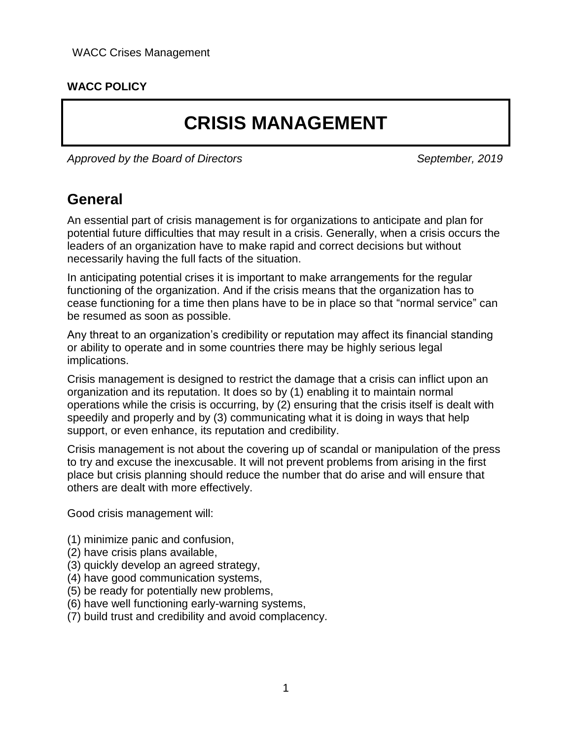#### **WACC POLICY**

# **CRISIS MANAGEMENT**

Approved by the Board of Directors Approved by the Board of Directors September, 2019

### **General**

An essential part of crisis management is for organizations to anticipate and plan for potential future difficulties that may result in a crisis. Generally, when a crisis occurs the leaders of an organization have to make rapid and correct decisions but without necessarily having the full facts of the situation.

In anticipating potential crises it is important to make arrangements for the regular functioning of the organization. And if the crisis means that the organization has to cease functioning for a time then plans have to be in place so that "normal service" can be resumed as soon as possible.

Any threat to an organization's credibility or reputation may affect its financial standing or ability to operate and in some countries there may be highly serious legal implications.

Crisis management is designed to restrict the damage that a crisis can inflict upon an organization and its reputation. It does so by (1) enabling it to maintain normal operations while the crisis is occurring, by (2) ensuring that the crisis itself is dealt with speedily and properly and by (3) communicating what it is doing in ways that help support, or even enhance, its reputation and credibility.

Crisis management is not about the covering up of scandal or manipulation of the press to try and excuse the inexcusable. It will not prevent problems from arising in the first place but crisis planning should reduce the number that do arise and will ensure that others are dealt with more effectively.

Good crisis management will:

- (1) minimize panic and confusion,
- (2) have crisis plans available,
- (3) quickly develop an agreed strategy,
- (4) have good communication systems,
- (5) be ready for potentially new problems,
- (6) have well functioning early-warning systems,
- (7) build trust and credibility and avoid complacency.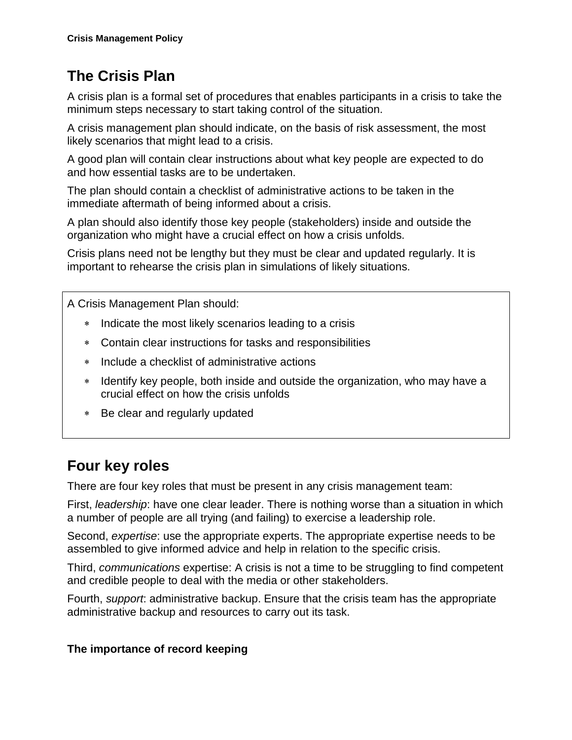# **The Crisis Plan**

A crisis plan is a formal set of procedures that enables participants in a crisis to take the minimum steps necessary to start taking control of the situation.

A crisis management plan should indicate, on the basis of risk assessment, the most likely scenarios that might lead to a crisis.

A good plan will contain clear instructions about what key people are expected to do and how essential tasks are to be undertaken.

The plan should contain a checklist of administrative actions to be taken in the immediate aftermath of being informed about a crisis.

A plan should also identify those key people (stakeholders) inside and outside the organization who might have a crucial effect on how a crisis unfolds.

Crisis plans need not be lengthy but they must be clear and updated regularly. It is important to rehearse the crisis plan in simulations of likely situations.

A Crisis Management Plan should:

- \* Indicate the most likely scenarios leading to a crisis
- Contain clear instructions for tasks and responsibilities
- Include a checklist of administrative actions
- \* Identify key people, both inside and outside the organization, who may have a crucial effect on how the crisis unfolds
- Be clear and regularly updated

## **Four key roles**

There are four key roles that must be present in any crisis management team:

First, *leadership*: have one clear leader. There is nothing worse than a situation in which a number of people are all trying (and failing) to exercise a leadership role.

Second, *expertise*: use the appropriate experts. The appropriate expertise needs to be assembled to give informed advice and help in relation to the specific crisis.

Third, *communications* expertise: A crisis is not a time to be struggling to find competent and credible people to deal with the media or other stakeholders.

Fourth, *support*: administrative backup. Ensure that the crisis team has the appropriate administrative backup and resources to carry out its task.

#### **The importance of record keeping**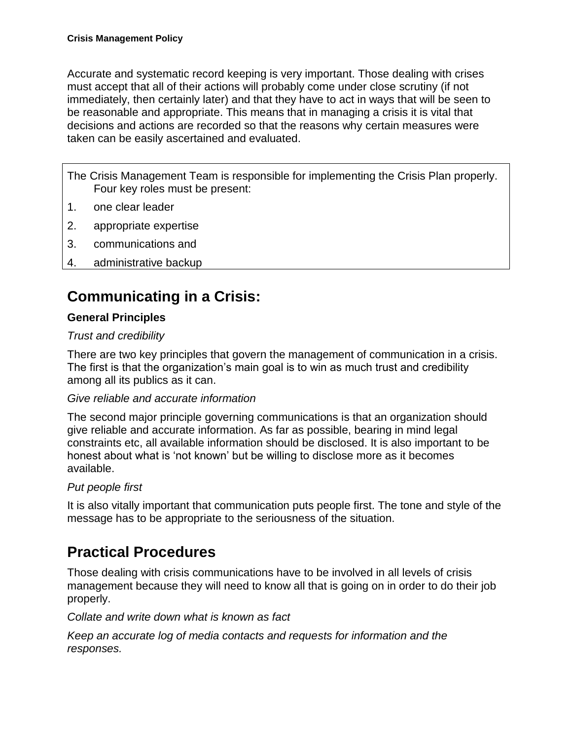Accurate and systematic record keeping is very important. Those dealing with crises must accept that all of their actions will probably come under close scrutiny (if not immediately, then certainly later) and that they have to act in ways that will be seen to be reasonable and appropriate. This means that in managing a crisis it is vital that decisions and actions are recorded so that the reasons why certain measures were taken can be easily ascertained and evaluated.

The Crisis Management Team is responsible for implementing the Crisis Plan properly. Four key roles must be present:

- 1. one clear leader
- 2. appropriate expertise
- 3. communications and
- 4. administrative backup

## **Communicating in a Crisis:**

#### **General Principles**

#### *Trust and credibility*

There are two key principles that govern the management of communication in a crisis. The first is that the organization's main goal is to win as much trust and credibility among all its publics as it can.

#### *Give reliable and accurate information*

The second major principle governing communications is that an organization should give reliable and accurate information. As far as possible, bearing in mind legal constraints etc, all available information should be disclosed. It is also important to be honest about what is 'not known' but be willing to disclose more as it becomes available.

#### *Put people first*

It is also vitally important that communication puts people first. The tone and style of the message has to be appropriate to the seriousness of the situation.

### **Practical Procedures**

Those dealing with crisis communications have to be involved in all levels of crisis management because they will need to know all that is going on in order to do their job properly.

*Collate and write down what is known as fact*

*Keep an accurate log of media contacts and requests for information and the responses.*